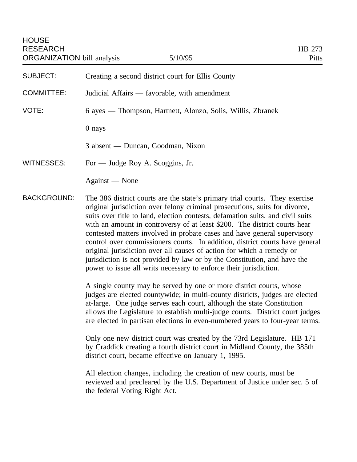SUBJECT: Creating a second district court for Ellis County

COMMITTEE: Judicial Affairs — favorable, with amendment

VOTE: 6 ayes — Thompson, Hartnett, Alonzo, Solis, Willis, Zbranek

0 nays

3 absent — Duncan, Goodman, Nixon

WITNESSES: For — Judge Roy A. Scoggins, Jr.

Against — None

BACKGROUND: The 386 district courts are the state's primary trial courts. They exercise original jurisdiction over felony criminal prosecutions, suits for divorce, suits over title to land, election contests, defamation suits, and civil suits with an amount in controversy of at least \$200. The district courts hear contested matters involved in probate cases and have general supervisory control over commissioners courts. In addition, district courts have general original jurisdiction over all causes of action for which a remedy or jurisdiction is not provided by law or by the Constitution, and have the power to issue all writs necessary to enforce their jurisdiction.

> A single county may be served by one or more district courts, whose judges are elected countywide; in multi-county districts, judges are elected at-large. One judge serves each court, although the state Constitution allows the Legislature to establish multi-judge courts. District court judges are elected in partisan elections in even-numbered years to four-year terms.

Only one new district court was created by the 73rd Legislature. HB 171 by Craddick creating a fourth district court in Midland County, the 385th district court, became effective on January 1, 1995.

All election changes, including the creation of new courts, must be reviewed and precleared by the U.S. Department of Justice under sec. 5 of the federal Voting Right Act.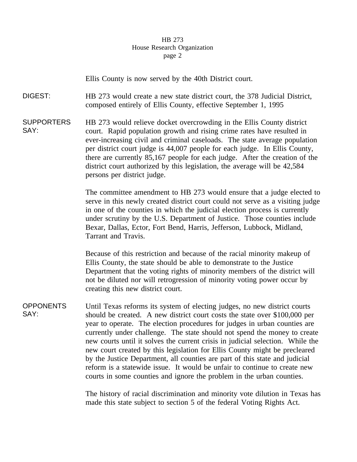## HB 273 House Research Organization page 2

Ellis County is now served by the 40th District court.

DIGEST: HB 273 would create a new state district court, the 378 Judicial District, composed entirely of Ellis County, effective September 1, 1995

**SUPPORTERS** SAY: HB 273 would relieve docket overcrowding in the Ellis County district court. Rapid population growth and rising crime rates have resulted in ever-increasing civil and criminal caseloads. The state average population per district court judge is 44,007 people for each judge. In Ellis County, there are currently 85,167 people for each judge. After the creation of the district court authorized by this legislation, the average will be 42,584 persons per district judge.

> The committee amendment to HB 273 would ensure that a judge elected to serve in this newly created district court could not serve as a visiting judge in one of the counties in which the judicial election process is currently under scrutiny by the U.S. Department of Justice. Those counties include Bexar, Dallas, Ector, Fort Bend, Harris, Jefferson, Lubbock, Midland, Tarrant and Travis.

Because of this restriction and because of the racial minority makeup of Ellis County, the state should be able to demonstrate to the Justice Department that the voting rights of minority members of the district will not be diluted nor will retrogression of minority voting power occur by creating this new district court.

**OPPONENTS** SAY: Until Texas reforms its system of electing judges, no new district courts should be created. A new district court costs the state over \$100,000 per year to operate. The election procedures for judges in urban counties are currently under challenge. The state should not spend the money to create new courts until it solves the current crisis in judicial selection. While the new court created by this legislation for Ellis County might be precleared by the Justice Department, all counties are part of this state and judicial reform is a statewide issue. It would be unfair to continue to create new courts in some counties and ignore the problem in the urban counties.

> The history of racial discrimination and minority vote dilution in Texas has made this state subject to section 5 of the federal Voting Rights Act.